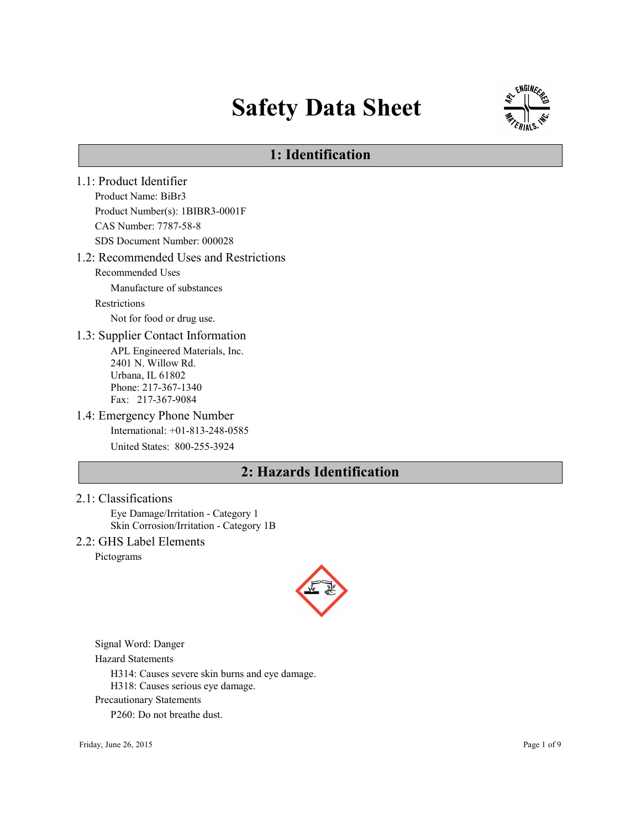# Safety Data Sheet



### 1: Identification

1.1: Product Identifier Product Name: BiBr3 Product Number(s): 1BIBR3-0001F CAS Number: 7787-58-8 SDS Document Number: 000028 1.2: Recommended Uses and Restrictions Recommended Uses Manufacture of substances Restrictions Not for food or drug use. 1.3: Supplier Contact Information APL Engineered Materials, Inc. 2401 N. Willow Rd. Urbana, IL 61802 Phone: 217-367-1340 Fax: 217-367-9084 1.4: Emergency Phone Number International: +01-813-248-0585 United States: 800-255-3924 2: Hazards Identification

#### 2.1: Classifications

Eye Damage/Irritation - Category 1 Skin Corrosion/Irritation - Category 1B

2.2: GHS Label Elements

Pictograms



Signal Word: Danger

Hazard Statements

H314: Causes severe skin burns and eye damage.

H318: Causes serious eye damage.

Precautionary Statements

P260: Do not breathe dust.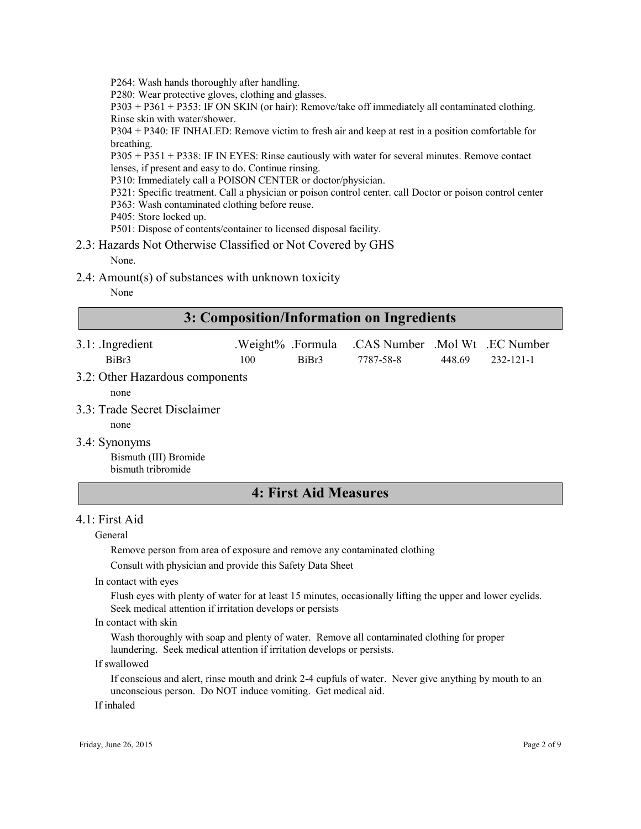P264: Wash hands thoroughly after handling.

P280: Wear protective gloves, clothing and glasses.

P303 + P361 + P353: IF ON SKIN (or hair): Remove/take off immediately all contaminated clothing. Rinse skin with water/shower.

P304 + P340: IF INHALED: Remove victim to fresh air and keep at rest in a position comfortable for breathing.

P305 + P351 + P338: IF IN EYES: Rinse cautiously with water for several minutes. Remove contact lenses, if present and easy to do. Continue rinsing.

P310: Immediately call a POISON CENTER or doctor/physician.

- P321: Specific treatment. Call a physician or poison control center. call Doctor or poison control center
- P363: Wash contaminated clothing before reuse.
- P405: Store locked up.

P501: Dispose of contents/container to licensed disposal facility.

2.3: Hazards Not Otherwise Classified or Not Covered by GHS

None.

2.4: Amount(s) of substances with unknown toxicity

None

### 3: Composition/Information on Ingredients

| $3.1:$ Ingredient |     |       | .Weight% .Formula .CAS Number .Mol Wt .EC Number |        |           |
|-------------------|-----|-------|--------------------------------------------------|--------|-----------|
| BiBr3             | 100 | BiBr3 | 7787-58-8                                        | 448.69 | 232-121-1 |
| _ _ _ _           |     |       |                                                  |        |           |

3.2: Other Hazardous components

none

- 3.3: Trade Secret Disclaimer
	- none
- 3.4: Synonyms

Bismuth (III) Bromide bismuth tribromide

### 4: First Aid Measures

#### 4.1: First Aid

General

Remove person from area of exposure and remove any contaminated clothing

Consult with physician and provide this Safety Data Sheet

In contact with eyes

Flush eyes with plenty of water for at least 15 minutes, occasionally lifting the upper and lower eyelids. Seek medical attention if irritation develops or persists

#### In contact with skin

Wash thoroughly with soap and plenty of water. Remove all contaminated clothing for proper laundering. Seek medical attention if irritation develops or persists.

If swallowed

If conscious and alert, rinse mouth and drink 2-4 cupfuls of water. Never give anything by mouth to an unconscious person. Do NOT induce vomiting. Get medical aid.

If inhaled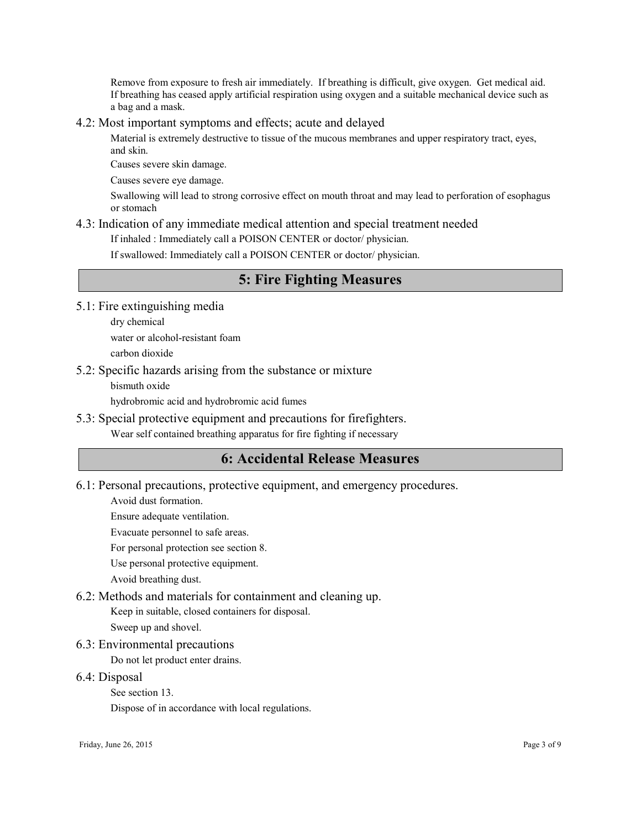Remove from exposure to fresh air immediately. If breathing is difficult, give oxygen. Get medical aid. If breathing has ceased apply artificial respiration using oxygen and a suitable mechanical device such as a bag and a mask.

#### 4.2: Most important symptoms and effects; acute and delayed

Material is extremely destructive to tissue of the mucous membranes and upper respiratory tract, eyes, and skin.

Causes severe skin damage.

Causes severe eye damage.

Swallowing will lead to strong corrosive effect on mouth throat and may lead to perforation of esophagus or stomach

#### 4.3: Indication of any immediate medical attention and special treatment needed

If inhaled : Immediately call a POISON CENTER or doctor/ physician.

If swallowed: Immediately call a POISON CENTER or doctor/ physician.

### 5: Fire Fighting Measures

5.1: Fire extinguishing media

dry chemical water or alcohol-resistant foam

carbon dioxide

5.2: Specific hazards arising from the substance or mixture

bismuth oxide

hydrobromic acid and hydrobromic acid fumes

5.3: Special protective equipment and precautions for firefighters.

Wear self contained breathing apparatus for fire fighting if necessary

### 6: Accidental Release Measures

6.1: Personal precautions, protective equipment, and emergency procedures.

Avoid dust formation.

Ensure adequate ventilation.

Evacuate personnel to safe areas.

For personal protection see section 8.

Use personal protective equipment.

Avoid breathing dust.

6.2: Methods and materials for containment and cleaning up.

Keep in suitable, closed containers for disposal.

Sweep up and shovel.

6.3: Environmental precautions

Do not let product enter drains.

6.4: Disposal

See section 13.

Dispose of in accordance with local regulations.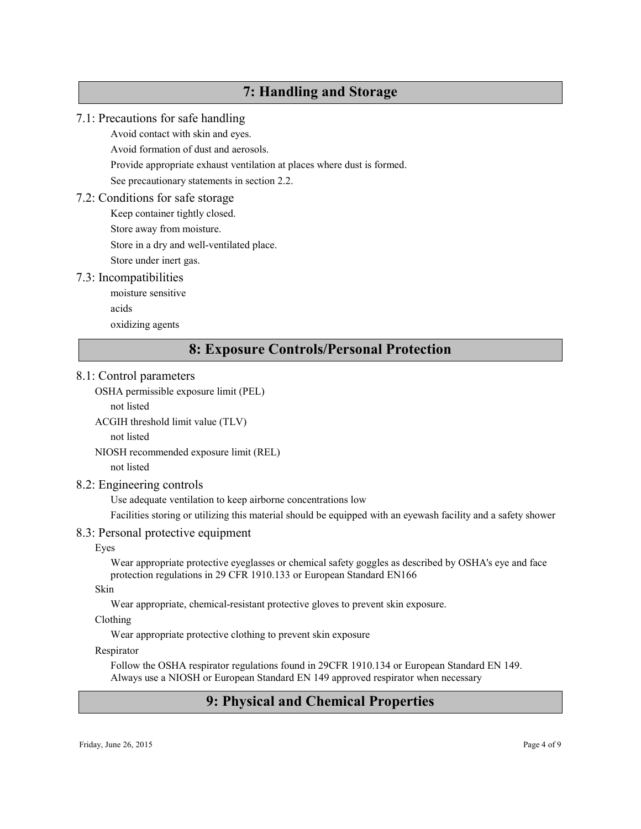### 7: Handling and Storage

### 7.1: Precautions for safe handling

Avoid contact with skin and eyes.

Avoid formation of dust and aerosols.

Provide appropriate exhaust ventilation at places where dust is formed.

See precautionary statements in section 2.2.

#### 7.2: Conditions for safe storage

Keep container tightly closed. Store away from moisture.

Store in a dry and well-ventilated place.

Store under inert gas.

#### 7.3: Incompatibilities

moisture sensitive acids oxidizing agents

### 8: Exposure Controls/Personal Protection

#### 8.1: Control parameters

OSHA permissible exposure limit (PEL)

not listed

ACGIH threshold limit value (TLV)

not listed

NIOSH recommended exposure limit (REL)

not listed

#### 8.2: Engineering controls

Use adequate ventilation to keep airborne concentrations low

Facilities storing or utilizing this material should be equipped with an eyewash facility and a safety shower

#### 8.3: Personal protective equipment

#### Eyes

Wear appropriate protective eyeglasses or chemical safety goggles as described by OSHA's eye and face protection regulations in 29 CFR 1910.133 or European Standard EN166

#### Skin

Wear appropriate, chemical-resistant protective gloves to prevent skin exposure.

#### Clothing

Wear appropriate protective clothing to prevent skin exposure

#### Respirator

Follow the OSHA respirator regulations found in 29CFR 1910.134 or European Standard EN 149. Always use a NIOSH or European Standard EN 149 approved respirator when necessary

### 9: Physical and Chemical Properties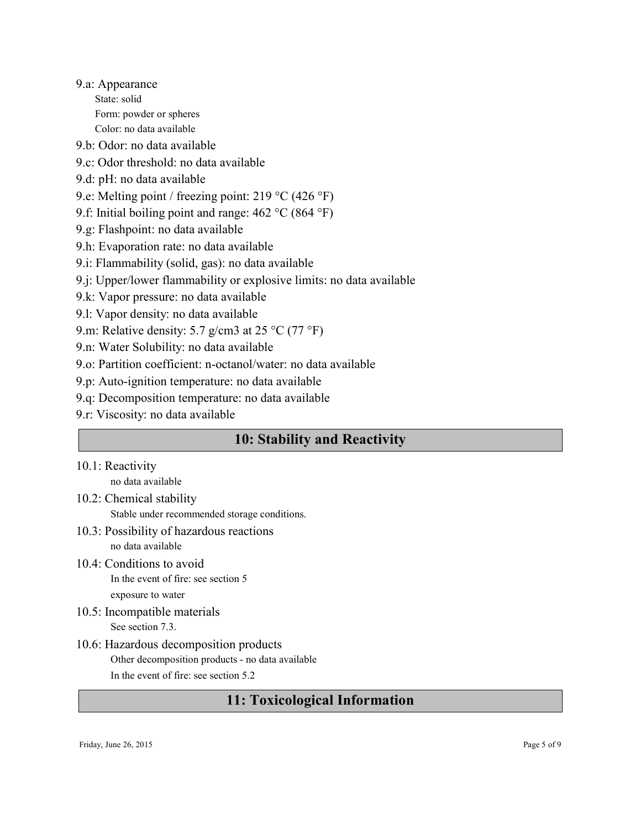9.a: Appearance State: solid Form: powder or spheres Color: no data available

9.b: Odor: no data available

- 9.c: Odor threshold: no data available
- 9.d: pH: no data available
- 9.e: Melting point / freezing point: 219 °C (426 °F)
- 9.f: Initial boiling point and range: 462 °C (864 °F)
- 9.g: Flashpoint: no data available
- 9.h: Evaporation rate: no data available
- 9.i: Flammability (solid, gas): no data available
- 9.j: Upper/lower flammability or explosive limits: no data available
- 9.k: Vapor pressure: no data available
- 9.l: Vapor density: no data available
- 9.m: Relative density: 5.7 g/cm3 at 25 °C (77 °F)
- 9.n: Water Solubility: no data available
- 9.o: Partition coefficient: n-octanol/water: no data available
- 9.p: Auto-ignition temperature: no data available
- 9.q: Decomposition temperature: no data available
- 9.r: Viscosity: no data available

### 10: Stability and Reactivity

10.1: Reactivity

no data available

- 10.2: Chemical stability
	- Stable under recommended storage conditions.
- 10.3: Possibility of hazardous reactions no data available
- 10.4: Conditions to avoid In the event of fire: see section 5 exposure to water
- 10.5: Incompatible materials See section 7.3.
- 10.6: Hazardous decomposition products Other decomposition products - no data available In the event of fire: see section 5.2

### 11: Toxicological Information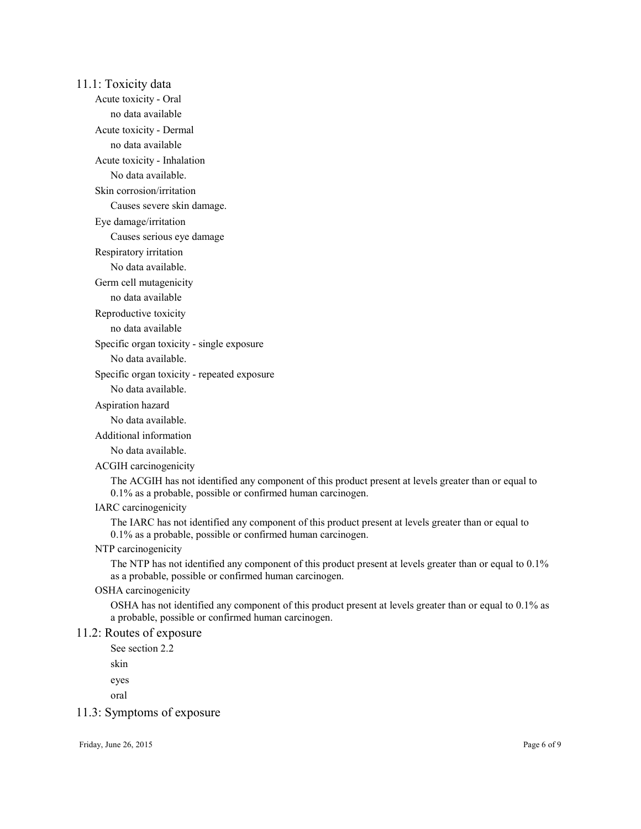11.1: Toxicity data Acute toxicity - Oral no data available Acute toxicity - Dermal no data available Acute toxicity - Inhalation No data available. Skin corrosion/irritation Causes severe skin damage. Eye damage/irritation Causes serious eye damage Respiratory irritation No data available. Germ cell mutagenicity no data available Reproductive toxicity no data available Specific organ toxicity - single exposure No data available. Specific organ toxicity - repeated exposure No data available. Aspiration hazard No data available. Additional information No data available. ACGIH carcinogenicity The ACGIH has not identified any component of this product present at levels greater than or equal to 0.1% as a probable, possible or confirmed human carcinogen. IARC carcinogenicity The IARC has not identified any component of this product present at levels greater than or equal to 0.1% as a probable, possible or confirmed human carcinogen. NTP carcinogenicity The NTP has not identified any component of this product present at levels greater than or equal to 0.1% as a probable, possible or confirmed human carcinogen. OSHA carcinogenicity OSHA has not identified any component of this product present at levels greater than or equal to 0.1% as a probable, possible or confirmed human carcinogen. 11.2: Routes of exposure See section 2.2 skin eyes oral 11.3: Symptoms of exposure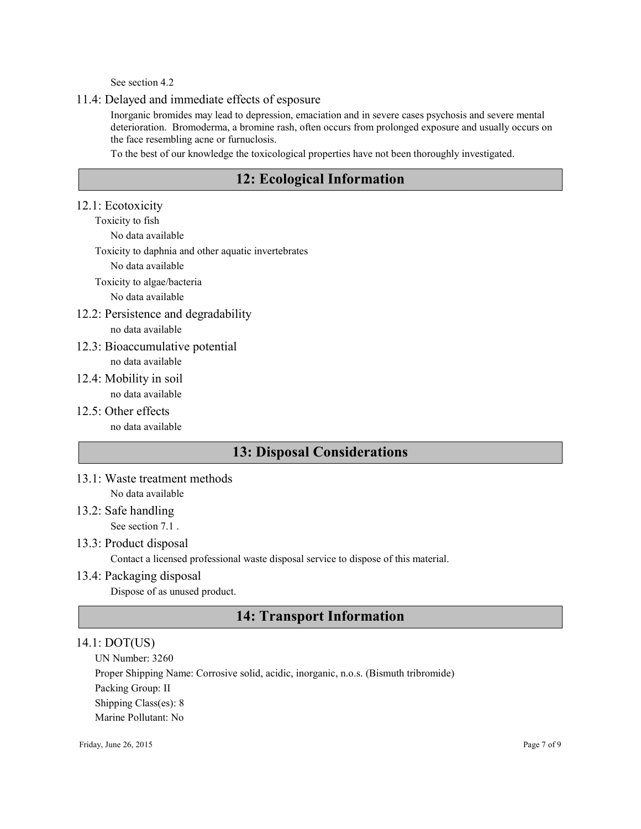See section 4.2

#### 11.4: Delayed and immediate effects of esposure

Inorganic bromides may lead to depression, emaciation and in severe cases psychosis and severe mental deterioration. Bromoderma, a bromine rash, often occurs from prolonged exposure and usually occurs on the face resembling acne or furnuclosis.

To the best of our knowledge the toxicological properties have not been thoroughly investigated.

### 12: Ecological Information

#### 12.1: Ecotoxicity

Toxicity to fish

No data available

Toxicity to daphnia and other aquatic invertebrates

No data available

Toxicity to algae/bacteria

No data available

12.2: Persistence and degradability

no data available

12.3: Bioaccumulative potential no data available

12.4: Mobility in soil

- no data available
- $12.5$ <sup>c</sup> Other effects

no data available

### 13: Disposal Considerations

13.1: Waste treatment methods No data available

## 13.2: Safe handling

See section 7.1.

#### 13.3: Product disposal

Contact a licensed professional waste disposal service to dispose of this material.

#### 13.4: Packaging disposal

Dispose of as unused product.

### 14: Transport Information

#### 14.1: DOT(US)

UN Number: 3260

Proper Shipping Name: Corrosive solid, acidic, inorganic, n.o.s. (Bismuth tribromide)

Packing Group: II

Shipping Class(es): 8

Marine Pollutant: No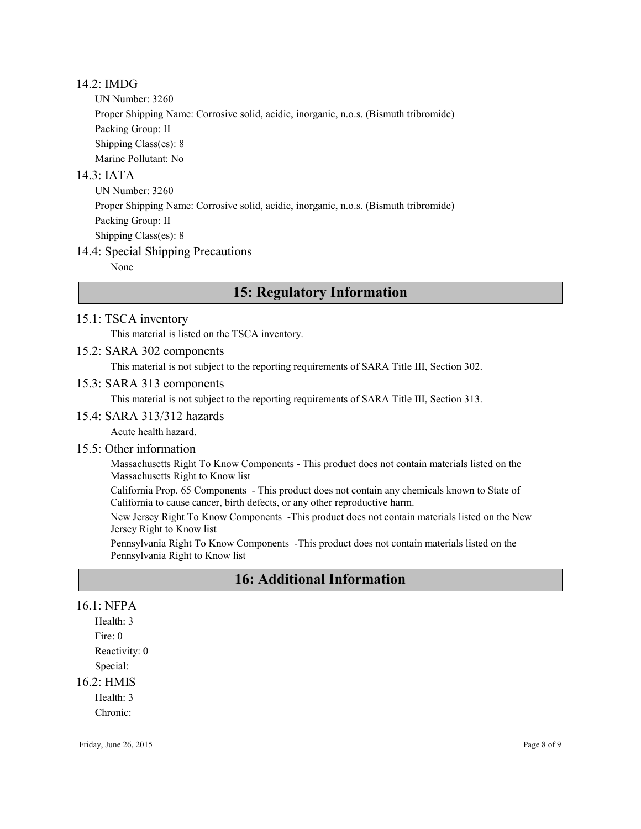#### 14.2: IMDG

UN Number: 3260

Proper Shipping Name: Corrosive solid, acidic, inorganic, n.o.s. (Bismuth tribromide)

Packing Group: II

Shipping Class(es): 8

Marine Pollutant: No

#### $14.3$   $IATA$

UN Number: 3260 Proper Shipping Name: Corrosive solid, acidic, inorganic, n.o.s. (Bismuth tribromide) Packing Group: II Shipping Class(es): 8

#### 14.4: Special Shipping Precautions

None

### 15: Regulatory Information

#### 15.1: TSCA inventory

This material is listed on the TSCA inventory.

#### 15.2: SARA 302 components

This material is not subject to the reporting requirements of SARA Title III, Section 302.

#### 15.3: SARA 313 components

This material is not subject to the reporting requirements of SARA Title III, Section 313.

#### 15.4: SARA 313/312 hazards

Acute health hazard.

#### 15.5: Other information

Massachusetts Right To Know Components - This product does not contain materials listed on the Massachusetts Right to Know list

California Prop. 65 Components - This product does not contain any chemicals known to State of California to cause cancer, birth defects, or any other reproductive harm.

New Jersey Right To Know Components -This product does not contain materials listed on the New Jersey Right to Know list

Pennsylvania Right To Know Components -This product does not contain materials listed on the Pennsylvania Right to Know list

### 16: Additional Information

#### 16.1: NFPA

Health: 3 Fire: 0 Reactivity: 0 Special:

#### 16.2: HMIS

Health: 3

Chronic: